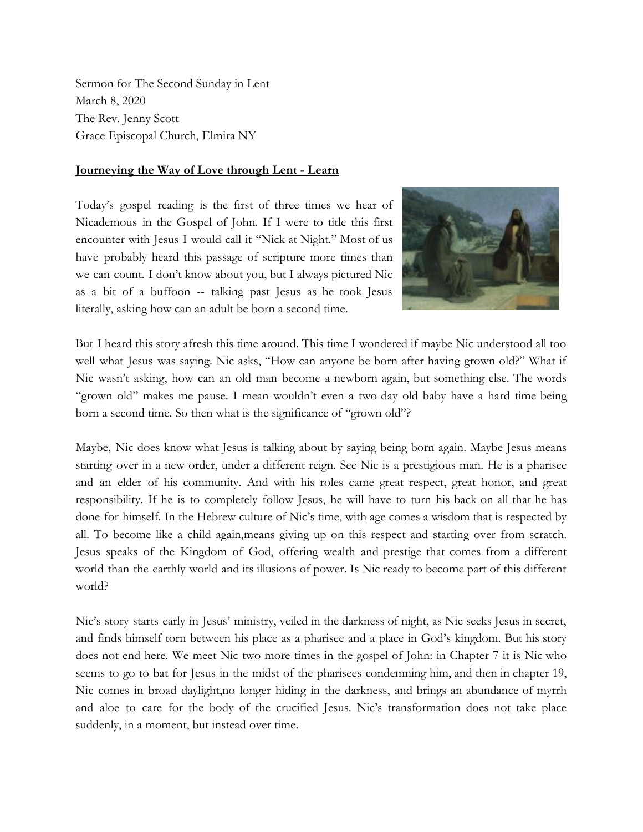Sermon for The Second Sunday in Lent March 8, 2020 The Rev. Jenny Scott Grace Episcopal Church, Elmira NY

## **Journeying the Way of Love through Lent - Learn**

Today's gospel reading is the first of three times we hear of Nicademous in the Gospel of John. If I were to title this first encounter with Jesus I would call it "Nick at Night." Most of us have probably heard this passage of scripture more times than we can count. I don't know about you, but I always pictured Nic as a bit of a buffoon -- talking past Jesus as he took Jesus literally, asking how can an adult be born a second time.



But I heard this story afresh this time around. This time I wondered if maybe Nic understood all too well what Jesus was saying. Nic asks, "How can anyone be born after having grown old?" What if Nic wasn't asking, how can an old man become a newborn again, but something else. The words "grown old" makes me pause. I mean wouldn't even a two-day old baby have a hard time being born a second time. So then what is the significance of "grown old"?

Maybe, Nic does know what Jesus is talking about by saying being born again. Maybe Jesus means starting over in a new order, under a different reign. See Nic is a prestigious man. He is a pharisee and an elder of his community. And with his roles came great respect, great honor, and great responsibility. If he is to completely follow Jesus, he will have to turn his back on all that he has done for himself. In the Hebrew culture of Nic's time, with age comes a wisdom that is respected by all. To become like a child again,means giving up on this respect and starting over from scratch. Jesus speaks of the Kingdom of God, offering wealth and prestige that comes from a different world than the earthly world and its illusions of power. Is Nic ready to become part of this different world?

Nic's story starts early in Jesus' ministry, veiled in the darkness of night, as Nic seeks Jesus in secret, and finds himself torn between his place as a pharisee and a place in God's kingdom. But his story does not end here. We meet Nic two more times in the gospel of John: in Chapter 7 it is Nic who seems to go to bat for Jesus in the midst of the pharisees condemning him, and then in chapter 19, Nic comes in broad daylight,no longer hiding in the darkness, and brings an abundance of myrrh and aloe to care for the body of the crucified Jesus. Nic's transformation does not take place suddenly, in a moment, but instead over time.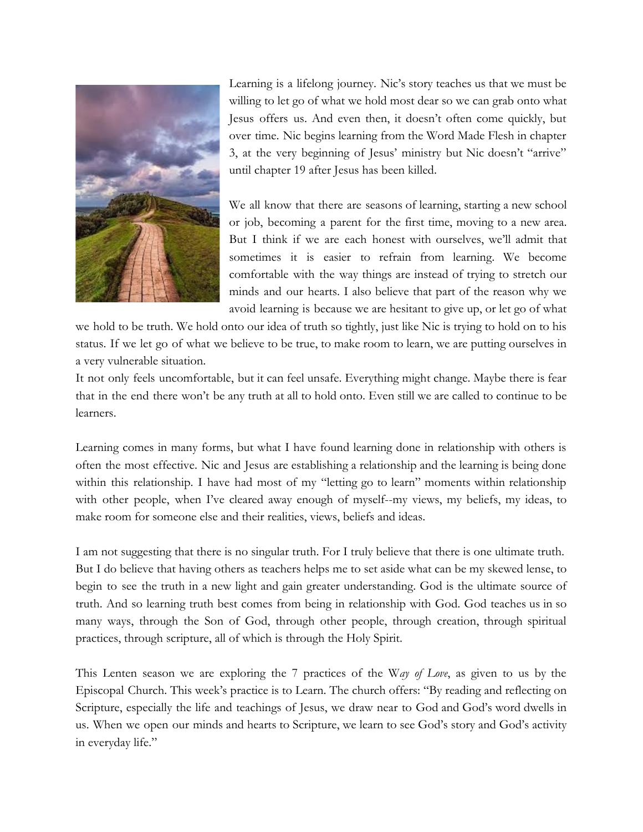

Learning is a lifelong journey. Nic's story teaches us that we must be willing to let go of what we hold most dear so we can grab onto what Jesus offers us. And even then, it doesn't often come quickly, but over time. Nic begins learning from the Word Made Flesh in chapter 3, at the very beginning of Jesus' ministry but Nic doesn't "arrive" until chapter 19 after Jesus has been killed.

We all know that there are seasons of learning, starting a new school or job, becoming a parent for the first time, moving to a new area. But I think if we are each honest with ourselves, we'll admit that sometimes it is easier to refrain from learning. We become comfortable with the way things are instead of trying to stretch our minds and our hearts. I also believe that part of the reason why we avoid learning is because we are hesitant to give up, or let go of what

we hold to be truth. We hold onto our idea of truth so tightly, just like Nic is trying to hold on to his status. If we let go of what we believe to be true, to make room to learn, we are putting ourselves in a very vulnerable situation.

It not only feels uncomfortable, but it can feel unsafe. Everything might change. Maybe there is fear that in the end there won't be any truth at all to hold onto. Even still we are called to continue to be learners.

Learning comes in many forms, but what I have found learning done in relationship with others is often the most effective. Nic and Jesus are establishing a relationship and the learning is being done within this relationship. I have had most of my "letting go to learn" moments within relationship with other people, when I've cleared away enough of myself--my views, my beliefs, my ideas, to make room for someone else and their realities, views, beliefs and ideas.

I am not suggesting that there is no singular truth. For I truly believe that there is one ultimate truth. But I do believe that having others as teachers helps me to set aside what can be my skewed lense, to begin to see the truth in a new light and gain greater understanding. God is the ultimate source of truth. And so learning truth best comes from being in relationship with God. God teaches us in so many ways, through the Son of God, through other people, through creation, through spiritual practices, through scripture, all of which is through the Holy Spirit.

This Lenten season we are exploring the 7 practices of the W*ay of Love*, as given to us by the Episcopal Church. This week's practice is to Learn. The church offers: "By reading and reflecting on Scripture, especially the life and teachings of Jesus, we draw near to God and God's word dwells in us. When we open our minds and hearts to Scripture, we learn to see God's story and God's activity in everyday life."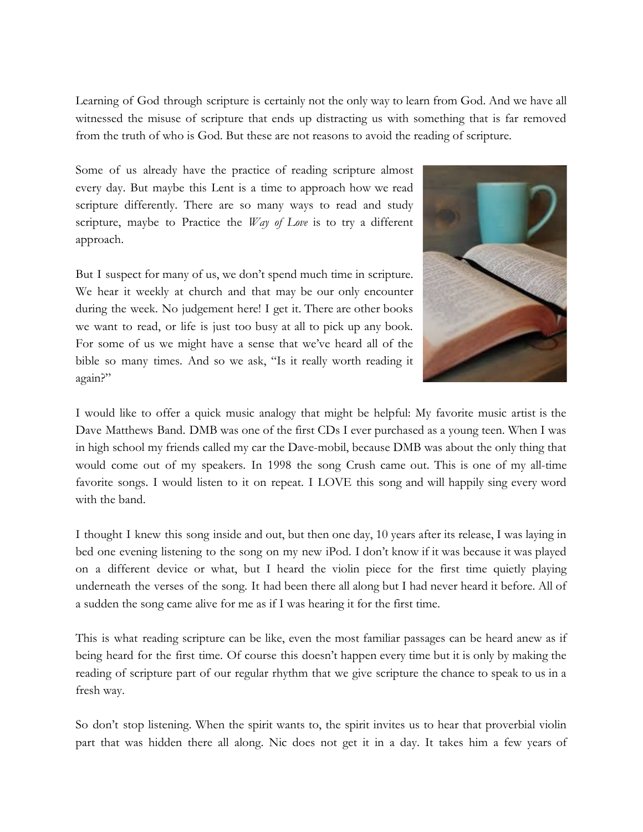Learning of God through scripture is certainly not the only way to learn from God. And we have all witnessed the misuse of scripture that ends up distracting us with something that is far removed from the truth of who is God. But these are not reasons to avoid the reading of scripture.

Some of us already have the practice of reading scripture almost every day. But maybe this Lent is a time to approach how we read scripture differently. There are so many ways to read and study scripture, maybe to Practice the *Way of Love* is to try a different approach.

But I suspect for many of us, we don't spend much time in scripture. We hear it weekly at church and that may be our only encounter during the week. No judgement here! I get it. There are other books we want to read, or life is just too busy at all to pick up any book. For some of us we might have a sense that we've heard all of the bible so many times. And so we ask, "Is it really worth reading it again?"



I would like to offer a quick music analogy that might be helpful: My favorite music artist is the Dave Matthews Band. DMB was one of the first CDs I ever purchased as a young teen. When I was in high school my friends called my car the Dave-mobil, because DMB was about the only thing that would come out of my speakers. In 1998 the song Crush came out. This is one of my all-time favorite songs. I would listen to it on repeat. I LOVE this song and will happily sing every word with the band.

I thought I knew this song inside and out, but then one day, 10 years after its release, I was laying in bed one evening listening to the song on my new iPod. I don't know if it was because it was played on a different device or what, but I heard the violin piece for the first time quietly playing underneath the verses of the song. It had been there all along but I had never heard it before. All of a sudden the song came alive for me as if I was hearing it for the first time.

This is what reading scripture can be like, even the most familiar passages can be heard anew as if being heard for the first time. Of course this doesn't happen every time but it is only by making the reading of scripture part of our regular rhythm that we give scripture the chance to speak to us in a fresh way.

So don't stop listening. When the spirit wants to, the spirit invites us to hear that proverbial violin part that was hidden there all along. Nic does not get it in a day. It takes him a few years of